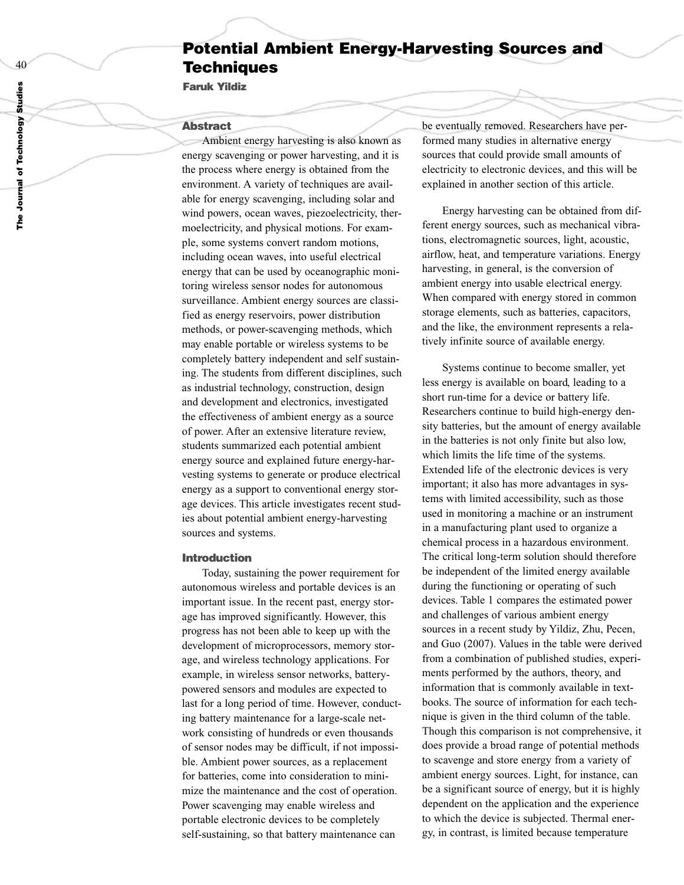# **Potential Ambient Energy-Harvesting Sources and Techniques**

**Faruk Yildiz**

# **Abstract**

Ambient energy harvesting is also known as energy scavenging or power harvesting, and it is the process where energy is obtained from the environment. A variety of techniques are available for energy scavenging, including solar and wind powers, ocean waves, piezoelectricity, thermoelectricity, and physical motions. For example, some systems convert random motions, including ocean waves, into useful electrical energy that can be used by oceanographic monitoring wireless sensor nodes for autonomous surveillance. Ambient energy sources are classi fied as energy reservoirs, power distribution methods, or power-scavenging methods, which may enable portable or wireless systems to be completely battery independent and self sustaining. The students from different disciplines, such as industrial technology, construction, design and de velopment and electronics, investigated the effectiveness of ambient energy as a source of power. After an extensive literature review, students summarized each potential ambient energy source and explained future energy-harvesting systems to generate or produce electrical energy as a support to conventional energy storage devices. This article investigates recent stud ies about potential ambient energy-harvesting sources and systems.

# **Introduction**

Today, sustaining the power requirement for autonomous wireless and portable devices is an important issue. In the recent past, energy storage has improved significantly. However, this pro gress has not been able to keep up with the development of microprocessors, memory storage, and wireless technology applications. For example, in wireless sensor networks, batterypowered sensors and modules are expected to last for a long period of time. However, conducting battery maintenance for a large-scale network consisting of hundreds or even thousands of sensor nodes may be difficult, if not impossi ble. Ambient power sources, as a replacement for batteries, come into consideration to minimize the maintenance and the cost of operation. Power scavenging may enable wireless and portable electronic devices to be completely self-sustaining, so that battery maintenance can

be eventually removed. Researchers have performed many studies in alternative energy sources that could provide small amounts of electricity to electronic devices, and this will be explained in another section of this article.

Energy harvesting can be obtained from different energy sources, such as mechanical vibrations, electromagnetic sources, light, acoustic, airflow, heat, and temperature variations. Energy harvesting, in general, is the conversion of ambient energy into usable electrical energy. When compared with energy stored in common storage elements, such as batteries, capacitors, and the like, the environment represents a relatively infinite source of available energy.

Systems continue to become smaller, yet less energy is available on board, leading to a short run-time for a device or battery life. Researchers continue to build high-energy density batteries, but the amount of energy available in the batteries is not only finite but also low, which limits the life time of the systems. Extended life of the electronic devices is very important; it also has more advantages in systems with limited accessibility, such as those used in monitoring a machine or an instrument in a manufacturing plant used to organize a chemical process in a hazardous environment. The critical long-term solution should therefore be independent of the limited energy available during the functioning or operating of such devices. Table 1 compares the estimated power and challenges of various ambient energy sources in a recent study by Yildiz, Zhu, Pecen, and Guo (2007). Values in the table were derived from a combination of published studies, experiments performed by the authors, theory, and information that is commonly available in textbooks. The source of information for each technique is given in the third column of the table. Though this comparison is not comprehensive, it does provide a broad range of potential methods to scavenge and store energy from a variety of ambient energy sources. Light, for instance, can be a significant source of energy, but it is highly dependent on the application and the experience to which the device is subjected. Thermal energy, in contrast, is limited because temperature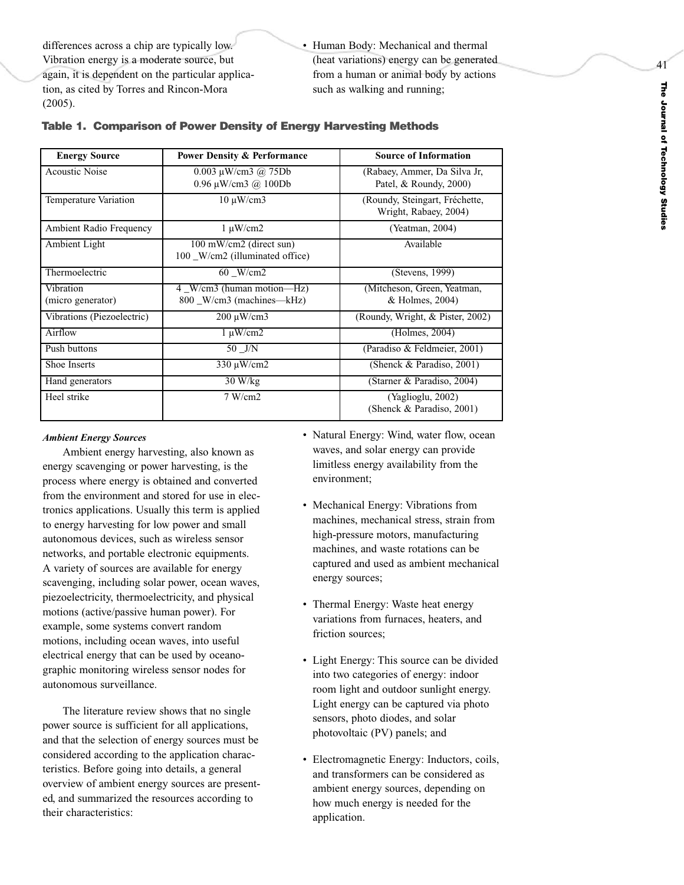differences across a chip are typically low. Vibration energy is a moderate source, but again, it is dependent on the particular application, as cited by Torres and Rincon-Mora (2005).

• Human Body: Mechanical and thermal (heat variations) energy can be generated from a human or animal body by actions such as walking and running;

| <b>Energy Source</b>           | <b>Power Density &amp; Performance</b>                    | <b>Source of Information</b>                            |  |
|--------------------------------|-----------------------------------------------------------|---------------------------------------------------------|--|
| <b>Acoustic Noise</b>          | 0.003 $\mu$ W/cm3 @ 75Db<br>0.96 $μW/cm3$ ( $@$ 100Db     | (Rabaey, Ammer, Da Silva Jr,<br>Patel, & Roundy, 2000)  |  |
| Temperature Variation          | $10 \mu W/cm3$                                            | (Roundy, Steingart, Fréchette,<br>Wright, Rabaey, 2004) |  |
| Ambient Radio Frequency        | $1 \mu W/cm2$                                             | (Yeatman, 2004)                                         |  |
| Ambient Light                  | 100 mW/cm2 (direct sun)<br>100 W/cm2 (illuminated office) | Available                                               |  |
| Thermoelectric                 | 60 W/cm2                                                  | (Stevens, 1999)                                         |  |
| Vibration<br>(micro generator) | 4 W/cm3 (human motion—Hz)<br>800 W/cm3 (machines—kHz)     | (Mitcheson, Green, Yeatman,<br>& Holmes, 2004)          |  |
| Vibrations (Piezoelectric)     | $200 \mu W/cm3$                                           | (Roundy, Wright, & Pister, 2002)                        |  |
| Airflow                        | $1 \mu W/cm2$                                             | (Holmes, 2004)                                          |  |
| Push buttons                   | 50 J/N                                                    | (Paradiso & Feldmeier, 2001)                            |  |
| Shoe Inserts                   | 330 µW/cm2                                                | (Shenck & Paradiso, $2001$ )                            |  |
| Hand generators                | 30 W/kg                                                   | (Starner & Paradiso, 2004)                              |  |
| Heel strike                    | 7 W/cm2                                                   | (Yaglioglu, 2002)<br>(Shenck $&$ Paradiso, 2001)        |  |

# **Table 1. Comparison of Power Density of Energy Harvesting Methods**

### *Ambient Energy Sources*

Ambient energy harvesting, also known as energy scavenging or power harvesting, is the process where energy is obtained and converted from the environment and stored for use in electronics applications. Usually this term is applied to energy harvesting for low power and small autonomous devices, such as wireless sensor networks, and portable electronic equipments. A variety of sources are available for energy scavenging, including solar power, ocean waves, piezoelectricity, thermoelectricity, and physical motions (acti ve/passi ve human power). For example, some systems convert random motions, including ocean waves, into useful electrical energy that can be used by oceanographic monitoring wireless sensor nodes for autonomous surveillance.

The literature review shows that no single power source is sufficient for all applications, and that the selection of energy sources must be considered according to the application charac teristics. Before going into details, a general overview of ambient energy sources are presented, and summarized the resources according to their characteristics:

- Natural Energy: Wind, water flow, ocean waves, and solar energy can provide limitless energy availability from the environment;
- Mechanical Energy: Vibrations from machines, mechanical stress, strain from high-pressure motors, manufacturing machines, and waste rotations can be captured and used as ambient mechanical energy sources;
- Thermal Energy: Waste heat energy variations from furnaces, heaters, and friction sources;
- Light Energy: This source can be divided into two categories of energy: indoor room light and outdoor sunlight energy. Light energy can be captured via photo sensors, photo diodes, and solar photovoltaic (PV) panels; and
- Electromagnetic Energy: Inductors, coils, and transformers can be considered as ambient energy sources, depending on how much energy is needed for the application.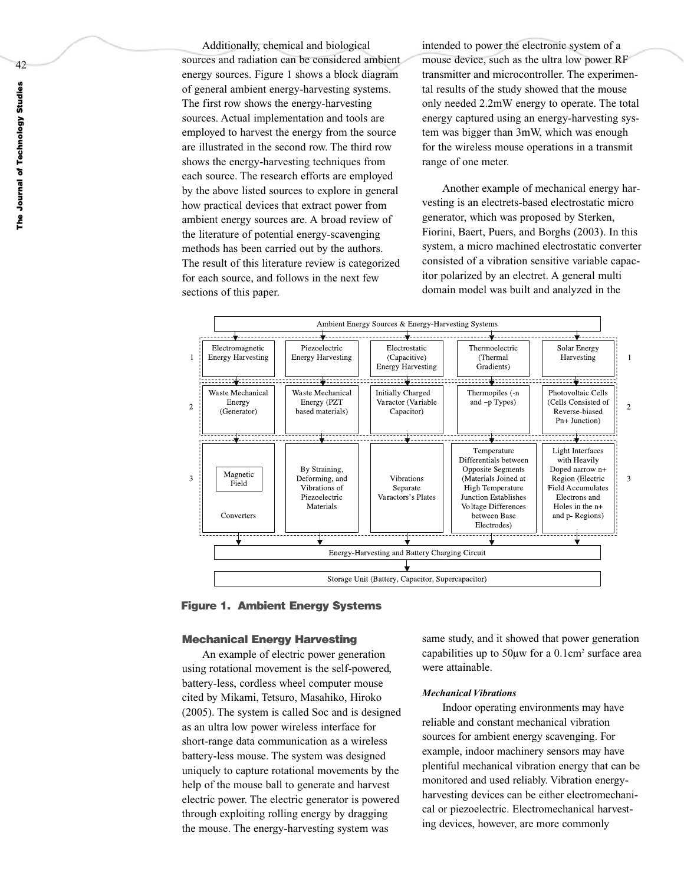Additionally, chemical and biological sources and radiation can be considered ambient energy sources. Figure 1 shows a block diagram of general ambient energy-harvesting systems. The first row shows the energy-harvesting sources. Actual implementation and tools are employed to harvest the energy from the source are illustrated in the second row. The third row shows the energy-harvesting techniques from each source. The research efforts are employed by the above listed sources to explore in general how practical devices that extract power from ambient energy sources are. A broad review of the literature of potential energy-scavenging methods has been carried out by the authors. The result of this literature review is categorized for each source, and follows in the next few sections of this paper.

intended to power the electronic system of a mouse device, such as the ultra low power RF transmitter and microcontroller. The experimental results of the study showed that the mouse only needed 2.2mW energy to operate. The total energy captured using an energy-harvesting system was bigger than 3mW, which was enough for the wireless mouse operations in a transmit range of one meter.

Another example of mechanical energy harvesting is an electrets-based electrostatic micro generator, which was proposed by Sterken, Fiorini, Baert, Puers, and Borghs (2003). In this system, a micro machined electrostatic converter consisted of a vibration sensitive variable capacitor polarized by an electret. A general multi domain model was built and analyzed in the



**Figure 1. Ambient Energy Systems**

# **Mechanical Energy Harvesting**

An example of electric power generation using rotational movement is the self-powered, battery-less, cordless wheel computer mouse cited by Mikami, Tetsuro, Masahiko, Hiroko (2005). The system is called Soc and is designed as an ultra low power wireless interface for short-range data communication as a wireless battery-less mouse. The system was designed uniquely to capture rotational movements by the help of the mouse ball to generate and harvest electric power. The electric generator is powered through exploiting rolling energy by dragging the mouse. The energy-harvesting system was

same study, and it showed that power generation capabilities up to  $50\mu\text{w}$  for a  $0.1\text{cm}^2$  surface area were attainable.

#### *Mechanical Vibrations*

Indoor operating environments may have reliable and constant mechanical vibration sources for ambient energy scavenging. For example, indoor machinery sensors may have plentiful mechanical vibration energy that can be monitored and used reliably. Vibration energyharvesting devices can be either electromechanical or piezoelectric. Electromechanical harvesting devices, however, are more commonly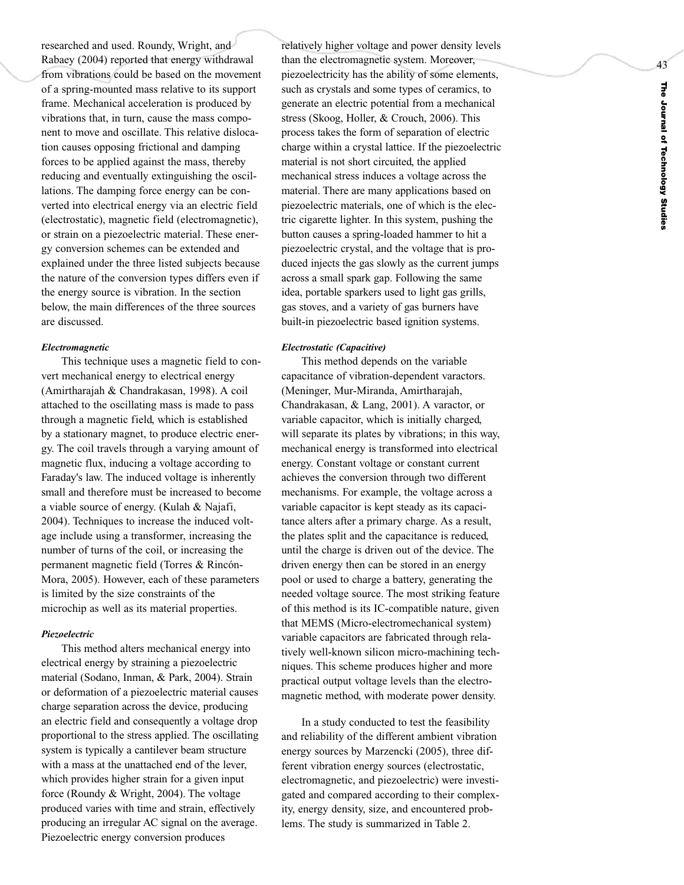researched and used. Roundy, Wright, and Rabaey (2004) reported that energy withdrawal from vibrations could be based on the movement of a spring-mounted mass relative to its support frame. Mechanical acceleration is produced by vibrations that, in turn, cause the mass component to move and oscillate. This relative dislocation causes opposing frictional and damping forces to be applied against the mass, thereby reducing and eventually extinguishing the oscillations. The damping force energy can be converted into electrical energy via an electric field (electrostatic), magnetic field (electromagnetic), or strain on a piezoelectric material. These energy conversion schemes can be extended and explained under the three listed subjects because the nature of the conversion types differs even if the energy source is vibration. In the section below, the main differences of the three sources are discussed.

#### *Electromagnetic*

This technique uses a magnetic field to con vert mechanical energy to electrical energy (Amirtharajah & Chandrakasan, 1998). A coil attached to the oscillating mass is made to pass through a magnetic field, which is established by a stationary magnet, to produce electric ener gy. The coil travels through a varying amount of magnetic flux, inducing a voltage according to Faraday's law. The induced voltage is inherently small and therefore must be increased to become a viable source of energy. (Kulah & Najafi, 2004). Techniques to increase the induced voltage include using a transformer, increasing the number of turns of the coil, or increasing the permanent magnetic field (Torres & Rincón-Mora, 2005). However, each of these parameters is limited by the size constraints of the microchip as well as its material properties.

#### *Piezoelectric*

This method alters mechanical energy into electrical energy by straining a piezoelectric material (Sodano, Inman, & Park, 2004). Strain or deformation of a piezoelectric material causes charge separation across the device, producing an electric field and consequently a voltage drop proportional to the stress applied. The oscillating system is typically a cantilever beam structure with a mass at the unattached end of the lever, which provides higher strain for a given input force (Roundy & Wright, 2004). The voltage produced varies with time and strain, effectively producing an irregular AC signal on the average. Piezoelectric energy conversion produces

relatively higher voltage and power density levels than the electromagnetic system. Moreover, piezoelectricity has the ability of some elements, such as crystals and some types of ceramics, to generate an electric potential from a mechanical stress (Skoog, Holler, & Crouch, 2006). This process takes the form of separation of electric charge within a crystal lattice. If the piezoelectric material is not short circuited, the applied mechanical stress induces a voltage across the material. There are many applications based on piezoelectric materials, one of which is the electric cigarette lighter. In this system, pushing the button causes a spring-loaded hammer to hit a piezoelectric crystal, and the voltage that is produced injects the gas slowly as the current jumps across a small spark gap. Following the same idea, portable sparkers used to light gas grills, gas stoves, and a variety of gas burners have built-in piezoelectric based ignition systems.

#### *Electrostatic (Capacitive)*

This method depends on the variable capacitance of vibration-dependent varactors. (Meninger, Mur-Miranda, Amirtharajah, Chandrakasan, & Lang, 2001). A varactor, or variable capacitor, which is initially charged, will separate its plates by vibrations; in this way, mechanical energy is transformed into electrical energy. Constant voltage or constant current achieves the conversion through two different mechanisms. For example, the voltage across a variable capacitor is kept steady as its capacitance alters after a primary charge. As a result, the plates split and the capacitance is reduced, until the charge is driven out of the device. The driven energy then can be stored in an energy pool or used to charge a battery, generating the needed voltage source. The most striking feature of this method is its IC-compatible nature, given that MEMS (Micro-electromechanical system) variable capacitors are fabricated through relatively well-known silicon micro-machining techniques. This scheme produces higher and more practical output voltage levels than the electromagnetic method, with moderate power density.

In a study conducted to test the feasibility and reliability of the different ambient vibration energy sources by Marzencki (2005), three different vibration energy sources (electrostatic, electromagnetic, and piezoelectric) were investi gated and compared according to their complexity, energy density, size, and encountered problems. The study is summarized in Table 2.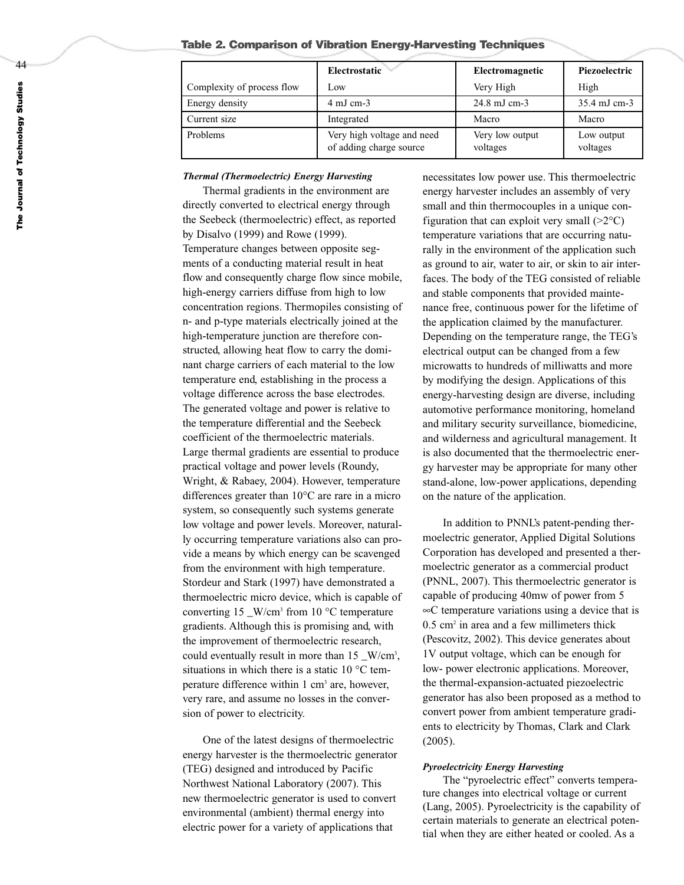|                            | Electrostatic                                         | Electromagnetic             | Piezoelectric          |
|----------------------------|-------------------------------------------------------|-----------------------------|------------------------|
| Complexity of process flow | Low                                                   | Very High                   | High                   |
| Energy density             | $4 \text{ mJ cm-3}$                                   | 24.8 mJ cm-3                | 35.4 mJ cm-3           |
| Current size               | Integrated                                            | Macro                       | Macro                  |
| Problems                   | Very high voltage and need<br>of adding charge source | Very low output<br>voltages | Low output<br>voltages |

#### *Thermal (Thermoelectric) Energy Harvesting*

Thermal gradients in the environment are directly converted to electrical energy through the Seebeck (thermoelectric) effect, as reported by Disalvo (1999) and Rowe (1999). Temperature changes between opposite segments of a conducting material result in heat flow and consequently charge flow since mobile, high-energy carriers diffuse from high to low concentration regions. Thermopiles consisting of n- and p-type materials electrically joined at the high-temperature junction are therefore con structed, allowing heat flow to carry the dominant charge carriers of each material to the low temperature end, establishing in the process a voltage difference across the base electrodes. The generated voltage and power is relative to the temperature differential and the Seebeck coefficient of the thermoelectric materials. Large thermal gradients are essential to produce practical voltage and power levels (Roundy, Wright, & Rabaey, 2004). However, temperature differences greater than 10°C are rare in a micro system, so consequently such systems generate low voltage and power levels. Moreover, naturally occurring temperature variations also can provide a means by which energy can be scavenged from the environment with high temperature. Stordeur and Stark (1997) have demonstrated a thermoelectric micro device, which is capable of converting 15 \_W/cm <sup>3</sup> from 10 °C temperature gradients. Although this is promising and, with the improvement of thermoelectric research, could eventually result in more than 15 \_W/cm 3 , situations in which there is a static 10 °C temperature difference within 1 cm<sup>3</sup> are, however, very rare, and assume no losses in the conversion of power to electricity.

One of the latest designs of thermoelectric energy harvester is the thermoelectric generator (TEG) designed and introduced by Pacific Northwest National Laboratory (2007). This new thermoelectric generator is used to convert environmental (ambient) thermal energy into electric po wer for a variety of applications that

necessitates low power use. This thermoelectric energy harvester includes an assembly of very small and thin thermocouples in a unique configuration that can exploit very small  $(>2^{\circ}C)$ temperature variations that are occurring naturally in the environment of the application such as ground to air, water to air, or skin to air interfaces. The body of the TEG consisted of reliable and stable components that provided maintenance free, continuous power for the lifetime of the application claimed by the manufacturer. Depending on the temperature range, the TEG's electrical output can be changed from a fe w micro watts to hundreds of milliwatts and more by modifying the design. Applications of this energy-harvesting design are diverse, including automotive performance monitoring, homeland and military security surveillance, biomedicine, and wilderness and agricultural management. It is also documented that the thermoelectric energy harvester may be appropriate for many other stand-alone, low-power applications, depending on the nature of the application.

In addition to PNNL's patent-pending thermoelectric generator, Applied Digital Solutions Corporation has developed and presented a thermoelectric generator as a commercial product (PNNL, 2007). This thermoelectric generator is capable of producing 40mw of po wer from 5 ∞C temperature variations using a device that is 0.5 cm <sup>2</sup> in area and a few millimeters thick (Pescovitz, 2002). This device generates about 1V output voltage, which can be enough for low- power electronic applications. Moreover, the thermal-expansion-actuated piezoelectric generator has also been proposed as a method to convert power from ambient temperature gradients to electricity by Thomas, Clark and Clark (2005).

#### *Pyroelectricity Energy Harvesting*

The "pyroelectric effect" converts temperature changes into electrical voltage or current (Lang, 2005). Pyroelectricity is the capability of certain materials to generate an electrical potential when they are either heated or cooled. As a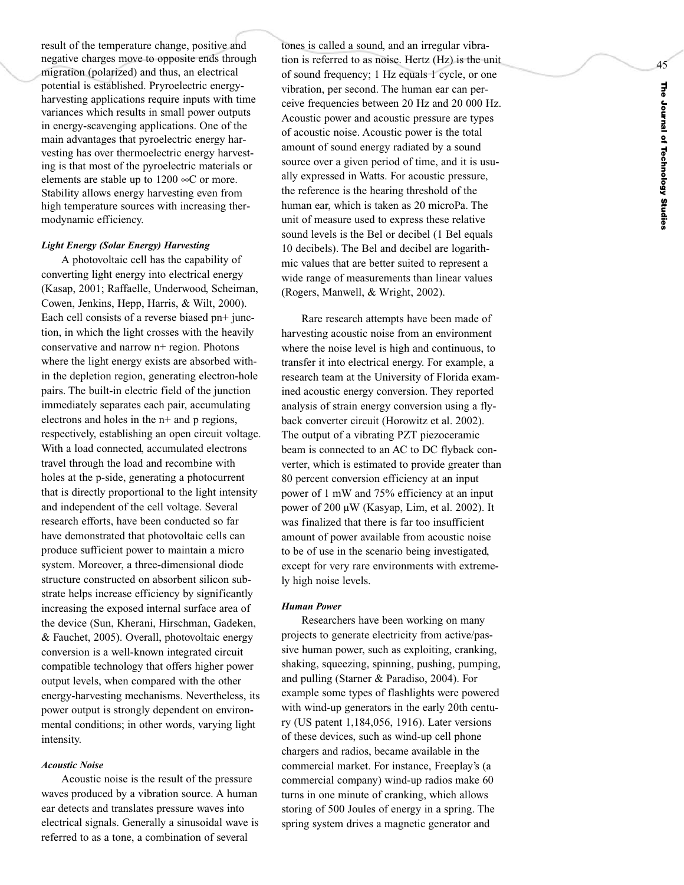45 **Studies**<br>Studies<br>Studies **The Journal** <u>ዒ</u> **Technology**

result of the temperature change, positive and negative charges move to opposite ends through migration (polarized) and thus, an electrical potential is established. Pryroelectric energyharvesting applications require inputs with time variances which results in small power outputs in energy-scavenging applications. One of the main advantages that pyroelectric energy har vesting has over thermoelectric energy harvesting is that most of the pyroelectric materials or elements are stable up to 1200 ∞C or more. Stability allows energy harvesting even from high temperature sources with increasing thermodynamic efficiency.

# *Light Energy (Solar Energy) Harvesting*

A photovoltaic cell has the capability of converting light energy into electrical energy (Kasap, 2001; Raffaelle, Underwood, Scheiman, Cowen, Jenkins, Hepp, Harris, & Wilt, 2000). Each cell consists of a reverse biased pn+ junction, in which the light crosses with the heavily conservative and narrow n+ region. Photons where the light energy exists are absorbed within the depletion region, generating electron-hole pairs. The built-in electric field of the junction immediately separates each pair, accumulating electrons and holes in the n+ and p regions, respecti vely, establishing an open circuit voltage. With a load connected, accumulated electrons travel through the load and recombine with holes at the p-side, generating a photocurrent that is directly proportional to the light intensity and independent of the cell voltage. Several research efforts, have been conducted so far have demonstrated that photovoltaic cells can produce sufficient power to maintain a micro system. Moreover, a three-dimensional diode structure constructed on absorbent silicon substrate helps increase efficiency by significantly increasing the exposed internal surface area of the device (Sun, Kherani, Hirschman, Gadeken, & Fauchet, 2005). Overall, photovoltaic energy conversion is a well-known integrated circuit compatible technology that offers higher power output levels, when compared with the other energy-harvesting mechanisms. Nevertheless, its power output is strongly dependent on environmental conditions; in other words, varying light intensity.

#### *Acoustic Noise*

Acoustic noise is the result of the pressure w aves produced by a vibration source. A human ear detects and translates pressure w aves into electrical signals. Generally a sinusoidal wave is referred to as a tone, a combination of se veral

tones is called a sound, and an irregular vibration is referred to as noise. Hertz (Hz) is the unit of sound frequency; 1 Hz equals 1 cycle, or one vibration, per second. The human ear can perceive frequencies between 20 Hz and 20 000 Hz. Acoustic power and acoustic pressure are types of acoustic noise. Acoustic power is the total amount of sound energy radiated by a sound source over a given period of time, and it is usually expressed in Watts. For acoustic pressure, the reference is the hearing threshold of the human ear, which is taken as 20 microPa. The unit of measure used to express these relative sound levels is the Bel or decibel (1 Bel equals 10 decibels). The Bel and decibel are logarithmic values that are better suited to represent a wide range of measurements than linear values (Rogers, Manwell, & Wright, 2002).

Rare research attempts have been made of harvesting acoustic noise from an environment where the noise level is high and continuous, to transfer it into electrical energy. For example, a research team at the University of Florida examined acoustic energy conversion. They reported analysis of strain energy conversion using a flyback converter circuit (Horowitz et al. 2002). The output of a vibrating PZT piezoceramic beam is connected to an AC to DC flyback con verter, which is estimated to provide greater than 80 percent conversion efficiency at an input power of 1 mW and 75% efficiency at an input power of 200 µW (Kasyap, Lim, et al. 2002). It was finalized that there is far too insufficient amount of po wer available from acoustic noise to be of use in the scenario being investigated, except for very rare environments with extremely high noise levels.

#### *Human Po wer*

Researchers have been working on many projects to generate electricity from active/passive human power, such as exploiting, cranking, shaking, squeezing, spinning, pushing, pumping, and pulling (Starner & Paradiso, 2004). For example some types of flashlights were powered with wind-up generators in the early 20th century (US patent 1,184,056, 1916). Later versions of these devices, such as wind-up cell phone chargers and radios, became available in the commercial market. For instance, Freeplay's (a commercial company) wind-up radios make 60 turns in one minute of cranking, which allows storing of 500 Joules of energy in a spring. The spring system dri ves a magnetic generator and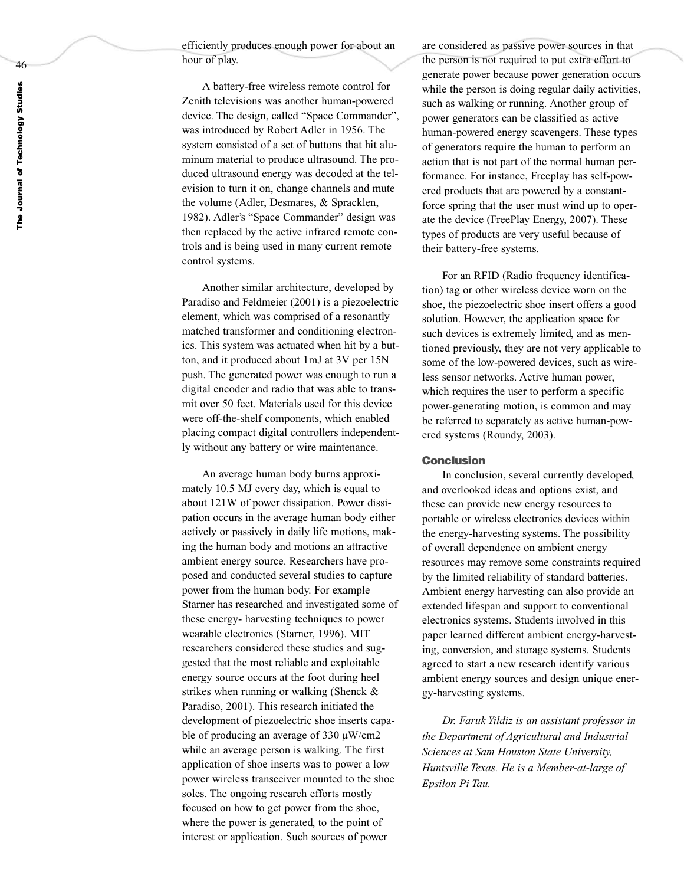efficiently produces enough power for about an hour of play.

A battery-free wireless remote control for Zenith televisions was another human-powered device. The design, called "Space Commander", was introduced by Robert Adler in 1956. The system consisted of a set of buttons that hit aluminum material to produce ultrasound. The produced ultrasound energy was decoded at the television to turn it on, change channels and mute the volume (Adler, Desmares, & Spracklen, 1982). Adler's "Space Commander" design was then replaced by the active infrared remote controls and is being used in many current remote control systems.

Another similar architecture, developed by Paradiso and Feldmeier (2001) is a piezoelectric element, which was comprised of a resonantly matched transformer and conditioning electronics. This system was actuated when hit by a button, and it produced about 1mJ at 3V per 15N push. The generated po wer was enough to run a digital encoder and radio that was able to transmit over 50 feet. Materials used for this device were off-the-shelf components, which enabled placing compact digital controllers independently without any battery or wire maintenance.

An average human body burns approximately 10.5 MJ every day, which is equal to about 121W of power dissipation. Power dissipation occurs in the average human body either actively or passively in daily life motions, making the human body and motions an attractive ambient energy source. Researchers have proposed and conducted several studies to capture power from the human body. For example Starner has researched and investigated some of these energy- harvesting techniques to power wearable electronics (Starner, 1996). MIT researchers considered these studies and sug gested that the most reliable and exploitable energy source occurs at the foot during heel strikes when running or walking (Shenck & Paradiso, 2001). This research initiated the development of piezoelectric shoe inserts capa ble of producing an average of 330  $\mu$ W/cm2 while an average person is walking. The first application of shoe inserts was to power a low po wer wireless transcei ver mounted to the shoe soles. The ongoing research efforts mostly focused on how to get power from the shoe, where the power is generated, to the point of interest or application. Such sources of power

are considered as passive power sources in that the person is not required to put extra effort to generate power because power generation occurs while the person is doing regular daily activities, such as walking or running. Another group of power generators can be classified as active human-powered energy scavengers. These types of generators require the human to perform an action that is not part of the normal human performance. For instance, Freeplay has self-powered products that are powered by a constantforce spring that the user must wind up to operate the device (FreePlay Energy, 2007). These types of products are very useful because of their battery-free systems.

For an RFID (Radio frequency identification) tag or other wireless device worn on the shoe, the piezoelectric shoe insert offers a good solution. However, the application space for such devices is extremely limited, and as mentioned previously, they are not very applicable to some of the low-powered devices, such as wireless sensor networks. Active human power, which requires the user to perform a specific power-generating motion, is common and may be referred to separately as active human-powered systems (Roundy, 2003).

# **Conclusion**

In conclusion, se veral currently developed, and overlooked ideas and options exist, and these can provide new energy resources to portable or wireless electronics devices within the energy-harvesting systems. The possibility of overall dependence on ambient energy resources may remove some constraints required by the limited reliability of standard batteries. Ambient energy harvesting can also provide an extended lifespan and support to conventional electronics systems. Students involved in this paper learned different ambient energy-harvesting, conversion, and storage systems. Students agreed to start a new research identify various ambient energy sources and design unique energy-harvesting systems.

*Dr. Faruk Yildiz is an assistant professor in the Department of Agricultural and Industrial Sciences at Sam Houston State University, Huntsville Texas. He is a Member-at-large of Epsilon Pi Tau.*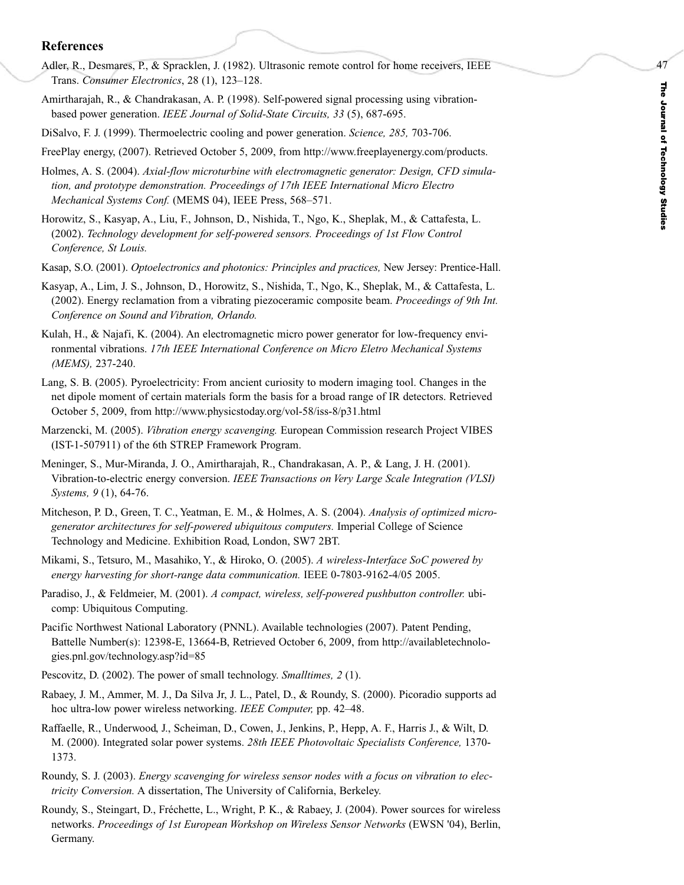# 47 **Fhe Journal of Technology Studies The Journal** <u>ዒ</u> **Technology**

# **References**

- Adler, R., Desmares, P., & Spracklen, J. (1982). Ultrasonic remote control for home receivers, IEEE Trans. *Consumer Electronics*, 28 (1), 123–128.
- Amirtharajah, R., & Chandrakasan, A. P. (1998). Self-powered signal processing using vibrationbased power generation. *IEEE Journal of Solid-State Circuits, 33* (5), 687-695.
- DiSalvo, F. J. (1999). Thermoelectric cooling and power generation. *Science, 285,* 703-706.
- FreePlay energy, (2007). Retrieved October 5, 2009, from http://www.freeplayenergy.com/products.
- Holmes, A. S. (2004). *Axial-flow microturbine with electromagnetic generator: Design, CFD simulation, and prototype demonstration. Proceedings of 17th IEEE International Micro Electro Mechanical Systems Conf.* (MEMS 04), IEEE Press, 568–571.
- Horowitz, S., Kasyap, A., Liu, F., Johnson, D., Nishida, T., Ngo, K., Sheplak, M., & Cattafesta, L. (2002). *Technology development for self-powered sensors. Proceedings of 1st Flow Control Conference, St Louis.*
- Kasap, S.O. (2001). *Optoelectronics and photonics: Principles and practices,* New Jersey: Prentice-Hall.
- Kasyap, A., Lim, J. S., Johnson, D., Horowitz, S., Nishida, T., Ngo, K., Sheplak, M., & Cattafesta, L. (2002). Energy reclamation from a vibrating piezoceramic composite beam. *Proceedings of 9th Int. Conference on Sound and Vibration, Orlando.*
- Kulah, H., & Najafi, K. (2004). An electromagnetic micro power generator for low-frequency environmental vibrations. *17th IEEE International Conference on Micro Eletro Mechanical Systems (MEMS),* 237-240.
- Lang, S. B. (2005). Pyroelectricity: From ancient curiosity to modern imaging tool. Changes in the net dipole moment of certain materials form the basis for a broad range of IR detectors. Retrieved October 5, 2009, from http://www.physicstoday.org/vol-58/iss-8/p31.html
- Marzencki, M. (2005). *Vibration energy scavenging.* European Commission research Project VIBES (IST-1-507911) of the 6th STREP Framework Program.
- Meninger, S., Mur-Miranda, J. O., Amirtharajah, R., Chandrakasan, A. P., & Lang, J. H. (2001). Vibration-to-electric energy conversion. *IEEE Transactions on Very Large Scale Integration (VLSI) Systems, 9* (1), 64-76.
- Mitcheson, P. D., Green, T. C., Yeatman, E. M., & Holmes, A. S. (2004). *Analysis of optimized microgenerator architectures for self-powered ubiquitous computers.* Imperial College of Science Technology and Medicine. Exhibition Road, London, SW7 2BT.
- Mikami, S., Tetsuro, M., Masahiko, Y., & Hiroko, O. (2005). *A wireless-Interface SoC powered by energy harvesting for short-range data communication.* IEEE 0-7803-9162-4/05 2005.
- Paradiso, J., & Feldmeier, M. (2001). *A compact, wireless, self-powered pushbutton controller.* ubicomp: Ubiquitous Computing.
- Pacific Northwest National Laboratory (PNNL). Available technologies (2007). Patent Pending, Battelle Number(s): 12398-E, 13664-B, Retrieved October 6, 2009, from http://availabletechnologies.pnl.gov/technology.asp?id=85
- Pescovitz, D. (2002). The power of small technology. *Smalltimes, 2* (1).
- Rabaey, J. M., Ammer, M. J., Da Silva Jr, J. L., Patel, D., & Roundy, S. (2000). Picoradio supports ad hoc ultra-low power wireless networking. *IEEE Computer,* pp. 42–48.
- Raffaelle, R., Underwood, J., Scheiman, D., Cowen, J., Jenkins, P., Hepp, A. F., Harris J., & Wilt, D. M. (2000). Integrated solar power systems. *28th IEEE Photovoltaic Specialists Conference,* 1370- 1373.
- Roundy, S. J. (2003). *Energy scavenging for wireless sensor nodes with a focus on vibration to electricity Conversion.* A dissertation, The University of California, Berkeley.
- Roundy, S., Steingart, D., Fréchette, L., Wright, P. K., & Rabaey, J. (2004). Power sources for wireless networks. *Proceedings of 1st European Workshop on Wireless Sensor Networks* (EWSN '04), Berlin, Germany.